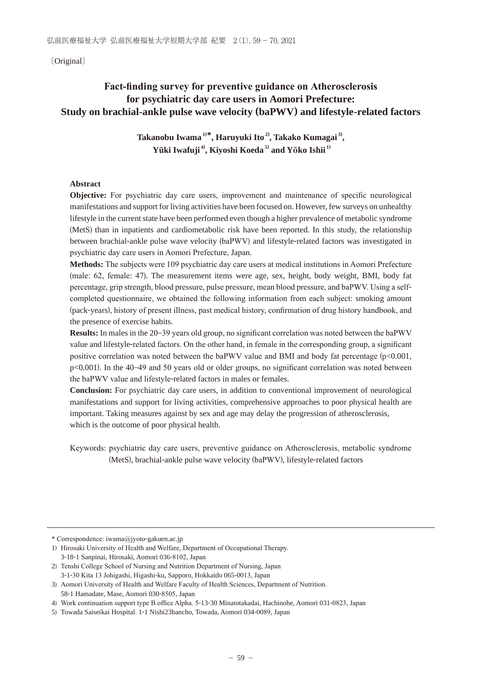〔Original〕

# Fact-finding survey for preventive guidance on Atherosclerosis **for psychiatric day care users in Aomori Prefecture: Study on brachial-ankle pulse wave velocity (baPWV) and lifestyle-related factors**

**Takanobu Iwama 1) \*, Haruyuki Ito 2) , Takako Kumagai 3) ,** Yūki Iwafuji<sup>4</sup>, Kiyoshi Koeda<sup>5)</sup> and Yōko Ishii<sup>1)</sup>

# **Abstract**

**Objective:** For psychiatric day care users, improvement and maintenance of specific neurological manifestations and support for living activities have been focused on. However, few surveys on unhealthy lifestyle in the current state have been performed even though a higher prevalence of metabolic syndrome (MetS) than in inpatients and cardiometabolic risk have been reported. In this study, the relationship between brachial-ankle pulse wave velocity (baPWV) and lifestyle-related factors was investigated in psychiatric day care users in Aomori Prefecture, Japan.

**Methods:** The subjects were 109 psychiatric day care users at medical institutions in Aomori Prefecture (male: 62, female: 47). The measurement items were age, sex, height, body weight, BMI, body fat percentage, grip strength, blood pressure, pulse pressure, mean blood pressure, and baPWV. Using a selfcompleted questionnaire, we obtained the following information from each subject: smoking amount (pack-years), history of present illness, past medical history, confirmation of drug history handbook, and the presence of exercise habits.

**Results:** In males in the 20–39 years old group, no significant correlation was noted between the baPWV value and lifestyle-related factors. On the other hand, in female in the corresponding group, a significant positive correlation was noted between the baPWV value and BMI and body fat percentage  $(p<0.001,$  $p<0.001$ ). In the 40–49 and 50 years old or older groups, no significant correlation was noted between the baPWV value and lifestyle-related factors in males or females.

**Conclusion:** For psychiatric day care users, in addition to conventional improvement of neurological manifestations and support for living activities, comprehensive approaches to poor physical health are important. Taking measures against by sex and age may delay the progression of atherosclerosis, which is the outcome of poor physical health.

Keywords: psychiatric day care users, preventive guidance on Atherosclerosis, metabolic syndrome (MetS), brachial-ankle pulse wave velocity (baPWV), lifestyle-related factors

<sup>\*</sup> Correspondence: iwama@jyoto-gakuen.ac.jp

<sup>1)</sup> Hirosaki University of Health and Welfare, Department of Occupational Therapy. 3-18-1 Sanpinai, Hirosaki, Aomori 036-8102, Japan

<sup>2)</sup> Tenshi College School of Nursing and Nutrition Department of Nursing. Japan 3-1-30 Kita 13 Johigashi, Higashi-ku, Sapporo, Hokkaido 065-0013, Japan

<sup>3)</sup> Aomori University of Health and Welfare Faculty of Health Sciences, Department of Nutrition. 58-1 Hamadate, Mase, Aomori 030-8505, Japan

<sup>4)</sup> Work continuation support type B office Alpha. 5-13-30 Minatotakadai, Hachinohe, Aomori 031-0823, Japan

<sup>5)</sup> Towada Saiseikai Hospital. 1-1 Nishi23bancho, Towada, Aomori 034-0089, Japan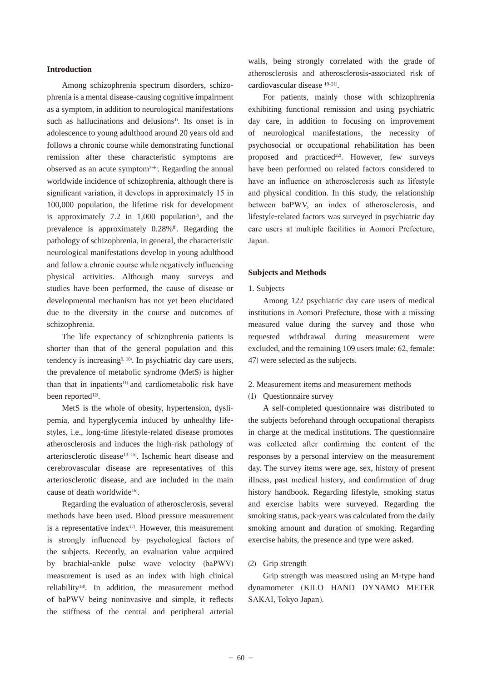# **Introduction**

 Among schizophrenia spectrum disorders, schizophrenia is a mental disease-causing cognitive impairment as a symptom, in addition to neurological manifestations such as hallucinations and delusions<sup>1)</sup>. Its onset is in adolescence to young adulthood around 20 years old and follows a chronic course while demonstrating functional remission after these characteristic symptoms are observed as an acute symptom $2-6$ . Regarding the annual worldwide incidence of schizophrenia, although there is significant variation, it develops in approximately 15 in 100,000 population, the lifetime risk for development is approximately  $7.2$  in  $1,000$  population<sup>7</sup>, and the prevalence is approximately  $0.28\%$ <sup>8</sup>. Regarding the pathology of schizophrenia, in general, the characteristic neurological manifestations develop in young adulthood and follow a chronic course while negatively influencing physical activities. Although many surveys and studies have been performed, the cause of disease or developmental mechanism has not yet been elucidated due to the diversity in the course and outcomes of schizophrenia.

 The life expectancy of schizophrenia patients is shorter than that of the general population and this tendency is increasing<sup>9, 10</sup>. In psychiatric day care users, the prevalence of metabolic syndrome (MetS) is higher than that in inpatients<sup>11)</sup> and cardiometabolic risk have been reported<sup>12)</sup>.

 MetS is the whole of obesity, hypertension, dyslipemia, and hyperglycemia induced by unhealthy lifestyles, i.e., long-time lifestyle-related disease promotes atherosclerosis and induces the high-risk pathology of arteriosclerotic disease<sup>13-15</sup>). Ischemic heart disease and cerebrovascular disease are representatives of this arteriosclerotic disease, and are included in the main cause of death worldwide<sup>16</sup>.

 Regarding the evaluation of atherosclerosis, several methods have been used. Blood pressure measurement is a representative index<sup>17)</sup>. However, this measurement is strongly influenced by psychological factors of the subjects. Recently, an evaluation value acquired by brachial-ankle pulse wave velocity (baPWV) measurement is used as an index with high clinical reliability18) . In addition, the measurement method of baPWV being noninvasive and simple, it reflects the stiffness of the central and peripheral arterial

walls, being strongly correlated with the grade of atherosclerosis and atherosclerosis-associated risk of cardiovascular disease <sup>19-21)</sup>.

 For patients, mainly those with schizophrenia exhibiting functional remission and using psychiatric day care, in addition to focusing on improvement of neurological manifestations, the necessity of psychosocial or occupational rehabilitation has been proposed and practiced<sup>22)</sup>. However, few surveys have been performed on related factors considered to have an influence on atherosclerosis such as lifestyle and physical condition. In this study, the relationship between baPWV, an index of atherosclerosis, and lifestyle-related factors was surveyed in psychiatric day care users at multiple facilities in Aomori Prefecture, Japan.

#### **Subjects and Methods**

#### 1. Subjects

 Among 122 psychiatric day care users of medical institutions in Aomori Prefecture, those with a missing measured value during the survey and those who requested withdrawal during measurement were excluded, and the remaining 109 users (male: 62, female: 47) were selected as the subjects.

# 2. Measurement items and measurement methods

(1) Questionnaire survey

 A self-completed questionnaire was distributed to the subjects beforehand through occupational therapists in charge at the medical institutions. The questionnaire was collected after confirming the content of the responses by a personal interview on the measurement day. The survey items were age, sex, history of present illness, past medical history, and confirmation of drug history handbook. Regarding lifestyle, smoking status and exercise habits were surveyed. Regarding the smoking status, pack-years was calculated from the daily smoking amount and duration of smoking. Regarding exercise habits, the presence and type were asked.

# (2) Grip strength

 Grip strength was measured using an M-type hand dynamometer (KILO HAND DYNAMO METER SAKAI, Tokyo Japan).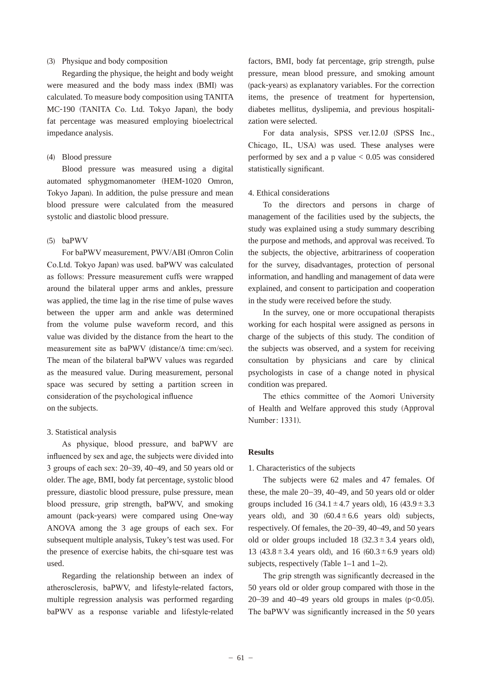# (3) Physique and body composition

 Regarding the physique, the height and body weight were measured and the body mass index (BMI) was calculated. To measure body composition using TANITA MC-190 (TANITA Co. Ltd. Tokyo Japan), the body fat percentage was measured employing bioelectrical impedance analysis.

# (4) Blood pressure

 Blood pressure was measured using a digital automated sphygmomanometer (HEM-1020 Omron, Tokyo Japan). In addition, the pulse pressure and mean blood pressure were calculated from the measured systolic and diastolic blood pressure.

#### $(5)$  baPWV

For baPWV measurement, PWV/ABI (Omron Colin Co.Ltd. Tokyo Japan) was used. baPWV was calculated as follows: Pressure measurement cuffs were wrapped around the bilateral upper arms and ankles, pressure was applied, the time lag in the rise time of pulse waves between the upper arm and ankle was determined from the volume pulse waveform record, and this value was divided by the distance from the heart to the measurement site as baPWV (distance/ $\Delta$  time: cm/sec). The mean of the bilateral baPWV values was regarded as the measured value. During measurement, personal space was secured by setting a partition screen in consideration of the psychological influence on the subjects.

# 3. Statistical analysis

As physique, blood pressure, and baPWV are influenced by sex and age, the subjects were divided into 3 groups of each sex:  $20-39$ ,  $40-49$ , and 50 years old or older. The age, BMI, body fat percentage, systolic blood pressure, diastolic blood pressure, pulse pressure, mean blood pressure, grip strength, baPWV, and smoking amount (pack-years) were compared using One-way ANOVA among the 3 age groups of each sex. For subsequent multiple analysis, Tukey's test was used. For the presence of exercise habits, the chi-square test was used.

 Regarding the relationship between an index of atherosclerosis, baPWV, and lifestyle-related factors, multiple regression analysis was performed regarding baPWV as a response variable and lifestyle-related

factors, BMI, body fat percentage, grip strength, pulse pressure, mean blood pressure, and smoking amount (pack-years) as explanatory variables. For the correction items, the presence of treatment for hypertension, diabetes mellitus, dyslipemia, and previous hospitalization were selected.

For data analysis, SPSS ver.12.0J (SPSS Inc., Chicago, IL, USA) was used. These analyses were performed by sex and a p value  $< 0.05$  was considered statistically significant.

#### 4. Ethical considerations

 To the directors and persons in charge of management of the facilities used by the subjects, the study was explained using a study summary describing the purpose and methods, and approval was received. To the subjects, the objective, arbitrariness of cooperation for the survey, disadvantages, protection of personal information, and handling and management of data were explained, and consent to participation and cooperation in the study were received before the study.

 In the survey, one or more occupational therapists working for each hospital were assigned as persons in charge of the subjects of this study. The condition of the subjects was observed, and a system for receiving consultation by physicians and care by clinical psychologists in case of a change noted in physical condition was prepared.

The ethics committee of the Aomori University of Health and Welfare approved this study (Approval Number: 1331).

#### **Results**

#### 1. Characteristics of the subjects

 The subjects were 62 males and 47 females. Of these, the male 20–39, 40–49, and 50 years old or older groups included 16 (34.1  $\pm$  4.7 years old), 16 (43.9  $\pm$  3.3 years old), and 30  $(60.4 \pm 6.6$  years old) subjects, respectively. Of females, the 20–39, 40–49, and 50 years old or older groups included 18  $(32.3 \pm 3.4 \text{ years old})$ , 13 (43.8  $\pm$  3.4 years old), and 16 (60.3  $\pm$  6.9 years old) subjects, respectively (Table  $1-1$  and  $1-2$ ).

The grip strength was significantly decreased in the 50 years old or older group compared with those in the 20–39 and 40–49 years old groups in males  $(p<0.05)$ . The baPWV was significantly increased in the 50 years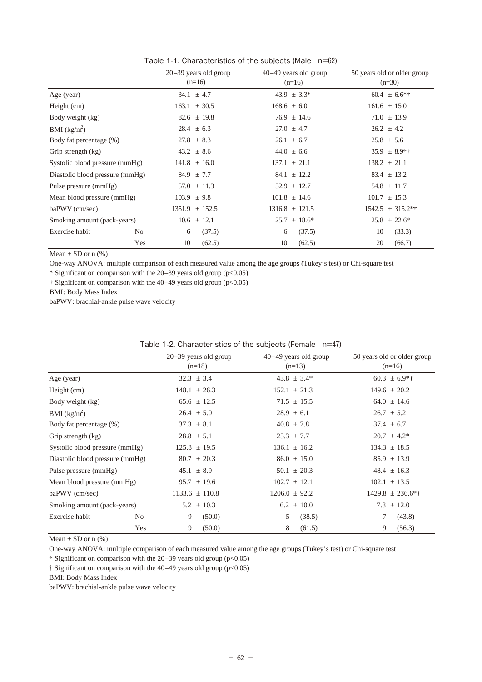|                                 | $20-39$ years old group       | $40-49$ years old group | 50 years old or older group |
|---------------------------------|-------------------------------|-------------------------|-----------------------------|
|                                 | $(n=16)$                      | $(n=16)$                | $(n=30)$                    |
| Age (year)                      | 34.1 $\pm$ 4.7                | $43.9 \pm 3.3^*$        | $60.4 \pm 6.6*$             |
| Height $(cm)$                   | $163.1 \pm 30.5$              | $168.6 \pm 6.0$         | $161.6 \pm 15.0$            |
| Body weight (kg)                | $82.6 \pm 19.8$               | $76.9 \pm 14.6$         | $71.0 \pm 13.9$             |
| BMI $(kg/m^2)$                  | $28.4 \pm 6.3$                | $27.0 \pm 4.7$          | $26.2 \pm 4.2$              |
| Body fat percentage (%)         | $27.8 \pm 8.3$                | $26.1 \pm 6.7$          | $25.8 \pm 5.6$              |
| Grip strength (kg)              | $43.2 \pm 8.6$                | $44.0 \pm 6.6$          | $35.9 \pm 8.9$ *            |
| Systolic blood pressure (mmHg)  | $141.8 \pm 16.0$              | $137.1 \pm 21.1$        | $138.2 \pm 21.1$            |
| Diastolic blood pressure (mmHg) | $84.9 \pm 7.7$                | $84.1 \pm 12.2$         | $83.4 \pm 13.2$             |
| Pulse pressure (mmHg)           | $57.0 \pm 11.3$               | $52.9 \pm 12.7$         | $54.8 \pm 11.7$             |
| Mean blood pressure (mmHg)      | $103.9 \pm 9.8$               | $101.8 \pm 14.6$        | $101.7 \pm 15.3$            |
| baPWV (cm/sec)                  | $1351.9 \pm 152.5$            | $1316.8 \pm 121.5$      | $1542.5 \pm 315.2**$        |
| Smoking amount (pack-years)     | $10.6 \pm 12.1$               | $25.7 \pm 18.6^*$       | $25.8 \pm 22.6^*$           |
| Exercise habit                  | (37.5)<br>N <sub>0</sub><br>6 | (37.5)<br>6             | (33.3)<br>10                |
|                                 | Yes<br>10<br>(62.5)           | 10<br>(62.5)            | 20<br>(66.7)                |

Table 1-1. Characteristics of the subjects (Male n=62)

Mean  $\pm$  SD or n (%)

One-way ANOVA: multiple comparison of each measured value among the age groups (Tukey's test) or Chi-square test

\* Significant on comparison with the  $20-39$  years old group (p<0.05)

† Significant on comparison with the 40–49 years old group (p<0.05)

BMI: Body Mass Index

baPWV: brachial-ankle pulse wave velocity

|                                 |                |                         | <b>I QUIC T-4.</b> OTIGIQUETISTICS OF THE SUDJECTS IT CHIQIC TITLET |                             |
|---------------------------------|----------------|-------------------------|---------------------------------------------------------------------|-----------------------------|
|                                 |                | $20-39$ years old group | $40-49$ years old group                                             | 50 years old or older group |
|                                 |                | $(n=18)$                | $(n=13)$                                                            | $(n=16)$                    |
| Age (year)                      |                | $32.3 \pm 3.4$          | $43.8 \pm 3.4^*$                                                    | $60.3 \pm 6.9**$            |
| Height $(cm)$                   |                | $148.1 \pm 26.3$        | $152.1 \pm 21.3$                                                    | $149.6 \pm 20.2$            |
| Body weight (kg)                |                | $65.6 \pm 12.5$         | $71.5 \pm 15.5$                                                     | $64.0 \pm 14.6$             |
| BMI $(kg/m^2)$                  |                | $26.4 \pm 5.0$          | $28.9 \pm 6.1$                                                      | $26.7 \pm 5.2$              |
| Body fat percentage (%)         |                | $37.3 \pm 8.1$          | $40.8 \pm 7.8$                                                      | $37.4 \pm 6.7$              |
| Grip strength (kg)              |                | $28.8 \pm 5.1$          | $25.3 \pm 7.7$                                                      | $20.7 \pm 4.2^*$            |
| Systolic blood pressure (mmHg)  |                | $125.8 \pm 19.5$        | $136.1 \pm 16.2$                                                    | $134.3 \pm 18.5$            |
| Diastolic blood pressure (mmHg) |                | $80.7 \pm 20.3$         | $86.0 \pm 15.0$                                                     | $85.9 \pm 13.9$             |
| Pulse pressure (mmHg)           |                | $45.1 \pm 8.9$          | $50.1 \pm 20.3$                                                     | $48.4 \pm 16.3$             |
| Mean blood pressure (mmHg)      |                | $95.7 \pm 19.6$         | $102.7 \pm 12.1$                                                    | $102.1 \pm 13.5$            |
| baPWV (cm/sec)                  |                | $1133.6 \pm 110.8$      | $1206.0 \pm 92.2$                                                   | $1429.8 \pm 236.6**$        |
| Smoking amount (pack-years)     |                | $5.2 \pm 10.3$          | $6.2 \pm 10.0$                                                      | $7.8 \pm 12.0$              |
| Exercise habit                  | N <sub>o</sub> | 9<br>(50.0)             | 5<br>(38.5)                                                         | (43.8)                      |
|                                 | Yes            | 9<br>(50.0)             | 8<br>(61.5)                                                         | 9<br>(56.3)                 |

|  | Table 1-2. Characteristics of the subjects (Female n=47) |  |  |  |
|--|----------------------------------------------------------|--|--|--|
|--|----------------------------------------------------------|--|--|--|

Mean  $\pm$  SD or n (%)

One-way ANOVA: multiple comparison of each measured value among the age groups (Tukey's test) or Chi-square test

\* Significant on comparison with the  $20-39$  years old group (p<0.05)

 $\dagger$  Significant on comparison with the 40–49 years old group (p<0.05)

BMI: Body Mass Index

baPWV: brachial-ankle pulse wave velocity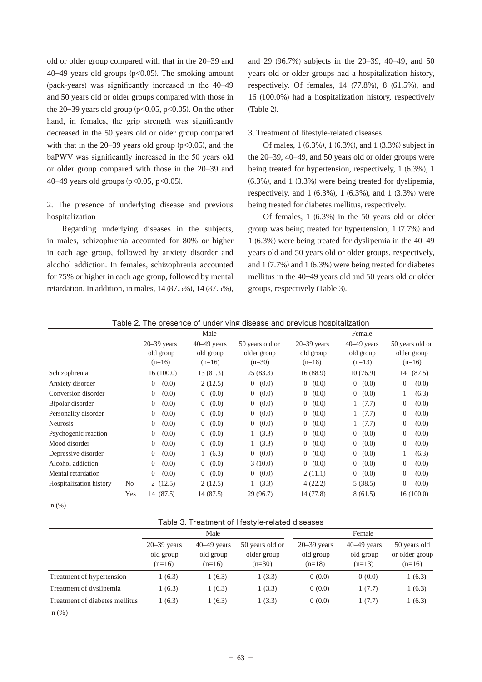old or older group compared with that in the 20–39 and 40–49 years old groups  $(p<0.05)$ . The smoking amount (pack-years) was significantly increased in the  $40-49$ and 50 years old or older groups compared with those in the 20–39 years old group ( $p<0.05$ ,  $p<0.05$ ). On the other hand, in females, the grip strength was significantly decreased in the 50 years old or older group compared with that in the  $20-39$  years old group ( $p<0.05$ ), and the baPWV was significantly increased in the 50 years old or older group compared with those in the 20–39 and 40–49 years old groups (p<0.05, p<0.05).

# 2. The presence of underlying disease and previous hospitalization

 Regarding underlying diseases in the subjects, in males, schizophrenia accounted for 80% or higher in each age group, followed by anxiety disorder and alcohol addiction. In females, schizophrenia accounted for 75% or higher in each age group, followed by mental retardation. In addition, in males, 14 (87.5%), 14 (87.5%),

and 29 (96.7%) subjects in the 20–39, 40–49, and 50 years old or older groups had a hospitalization history, respectively. Of females, 14 (77.8%), 8 (61.5%), and 16 (100.0%) had a hospitalization history, respectively (Table 2).

#### 3. Treatment of lifestyle-related diseases

 Of males, 1 (6.3%), 1 (6.3%), and 1 (3.3%) subject in the 20–39, 40–49, and 50 years old or older groups were being treated for hypertension, respectively, 1 (6.3%), 1 (6.3%), and 1 (3.3%) were being treated for dyslipemia, respectively, and 1 (6.3%), 1 (6.3%), and 1 (3.3%) were being treated for diabetes mellitus, respectively.

 Of females, 1 (6.3%) in the 50 years old or older group was being treated for hypertension, 1 (7.7%) and 1 (6.3%) were being treated for dyslipemia in the 40–49 years old and 50 years old or older groups, respectively, and 1 (7.7%) and 1 (6.3%) were being treated for diabetes mellitus in the 40–49 years old and 50 years old or older groups, respectively (Table 3).

|                         |                | Male                    |                         |                         | Female                  |                         |                         |  |
|-------------------------|----------------|-------------------------|-------------------------|-------------------------|-------------------------|-------------------------|-------------------------|--|
|                         |                | $20 - 39$ years         | $40-49$ years           | 50 years old or         | $20 - 39$ years         | $40-49$ years           | 50 years old or         |  |
|                         |                | old group<br>$(n=16)$   | old group<br>$(n=16)$   | older group<br>$(n=30)$ | old group<br>$(n=18)$   | old group<br>$(n=13)$   | older group<br>$(n=16)$ |  |
| Schizophrenia           |                | 16(100.0)               | 13(81.3)                | 25(83.3)                | 16(88.9)                | 10(76.9)                | (87.5)<br>14            |  |
| Anxiety disorder        |                | (0.0)<br>$\mathbf{0}$   | 2(12.5)                 | 0(0.0)                  | (0.0)<br>$\overline{0}$ | 0(0.0)                  | (0.0)<br>$\overline{0}$ |  |
| Conversion disorder     |                | $\overline{0}$<br>(0.0) | 0(0.0)                  | (0.0)<br>$\overline{0}$ | (0.0)<br>$\overline{0}$ | $\overline{0}$<br>(0.0) | (6.3)                   |  |
| Bipolar disorder        |                | (0.0)<br>$\theta$       | (0.0)<br>$\overline{0}$ | (0.0)<br>$\overline{0}$ | (0.0)<br>$\overline{0}$ | (7.7)                   | (0.0)<br>$\overline{0}$ |  |
| Personality disorder    |                | (0.0)<br>$\overline{0}$ | $\overline{0}$<br>(0.0) | (0.0)<br>$\overline{0}$ | (0.0)<br>$\overline{0}$ | 1(7.7)                  | $\overline{0}$<br>(0.0) |  |
| <b>Neurosis</b>         |                | $\mathbf{0}$<br>(0.0)   | $\overline{0}$<br>(0.0) | (0.0)<br>$\overline{0}$ | $\overline{0}$<br>(0.0) | 1(7.7)                  | $\overline{0}$<br>(0.0) |  |
| Psychogenic reaction    |                | $\mathbf{0}$<br>(0.0)   | $\overline{0}$<br>(0.0) | 1(3.3)                  | (0.0)<br>$\overline{0}$ | $\overline{0}$<br>(0.0) | $\overline{0}$<br>(0.0) |  |
| Mood disorder           |                | (0.0)<br>$\overline{0}$ | (0.0)<br>$\overline{0}$ | 1(3.3)                  | (0.0)<br>$\overline{0}$ | $\overline{0}$<br>(0.0) | $\overline{0}$<br>(0.0) |  |
| Depressive disorder     |                | $\mathbf{0}$<br>(0.0)   | (6.3)                   | 0(0.0)                  | (0.0)<br>$\overline{0}$ | $\overline{0}$<br>(0.0) | (6.3)                   |  |
| Alcohol addiction       |                | (0.0)<br>$\theta$       | (0.0)<br>$\overline{0}$ | 3(10.0)                 | (0.0)<br>$\overline{0}$ | $\overline{0}$<br>(0.0) | $\Omega$<br>(0.0)       |  |
| Mental retardation      |                | $\overline{0}$<br>(0.0) | $\overline{0}$<br>(0.0) | 0(0.0)                  | 2(11.1)                 | $\overline{0}$<br>(0.0) | $\overline{0}$<br>(0.0) |  |
| Hospitalization history | N <sub>0</sub> | 2(12.5)                 | 2(12.5)                 | (3.3)                   | 4(22.2)                 | 5(38.5)                 | 0<br>(0.0)              |  |
|                         | Yes            | 14 (87.5)               | 14 (87.5)               | 29 (96.7)               | 14 (77.8)               | 8 (61.5)                | 16(100.0)               |  |

Table 2. The presence of underlying disease and previous hospitalization

n (%)

|                                | Male                                     |                                        |                                            | Female                                   |                                        |                                            |  |
|--------------------------------|------------------------------------------|----------------------------------------|--------------------------------------------|------------------------------------------|----------------------------------------|--------------------------------------------|--|
|                                | $20 - 39$ years<br>old group<br>$(n=16)$ | $40-49$ years<br>old group<br>$(n=16)$ | 50 years old or<br>older group<br>$(n=30)$ | $20 - 39$ years<br>old group<br>$(n=18)$ | $40-49$ years<br>old group<br>$(n=13)$ | 50 years old<br>or older group<br>$(n=16)$ |  |
| Treatment of hypertension      | (6.3)                                    | 1(6.3)                                 | 1(3.3)                                     | 0(0.0)                                   | 0(0.0)                                 | 1(6.3)                                     |  |
| Treatment of dyslipemia        | 1(6.3)                                   | 1(6.3)                                 | 1(3.3)                                     | 0(0.0)                                   | 1(7.7)                                 | 1(6.3)                                     |  |
| Treatment of diabetes mellitus | (6.3)                                    | 1(6.3)                                 | 1(3.3)                                     | 0(0.0)                                   | 1(7.7)                                 | 1(6.3)                                     |  |

n (%)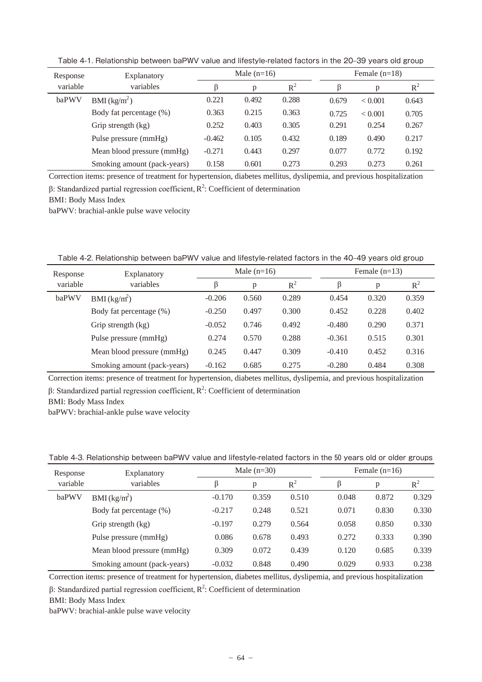| Response | Explanatory                 | Male $(n=16)$ |       |       |       | Female $(n=18)$ |       |  |
|----------|-----------------------------|---------------|-------|-------|-------|-----------------|-------|--|
| variable | variables                   |               | D     | $R^2$ |       | p               | $R^2$ |  |
| baPWV    | BMI (kg/m <sup>2</sup> )    | 0.221         | 0.492 | 0.288 | 0.679 | < 0.001         | 0.643 |  |
|          | Body fat percentage (%)     | 0.363         | 0.215 | 0.363 | 0.725 | < 0.001         | 0.705 |  |
|          | Grip strength (kg)          | 0.252         | 0.403 | 0.305 | 0.291 | 0.254           | 0.267 |  |
|          | Pulse pressure (mmHg)       | $-0.462$      | 0.105 | 0.432 | 0.189 | 0.490           | 0.217 |  |
|          | Mean blood pressure (mmHg)  | $-0.271$      | 0.443 | 0.297 | 0.077 | 0.772           | 0.192 |  |
|          | Smoking amount (pack-years) | 0.158         | 0.601 | 0.273 | 0.293 | 0.273           | 0.261 |  |

Table 4-1. Relationship between baPWV value and lifestyle-related factors in the 20-39 years old group

Correction items: presence of treatment for hypertension, diabetes mellitus, dyslipemia, and previous hospitalization  $\beta$ : Standardized partial regression coefficient,  $R^2$ : Coefficient of determination

BMI: Body Mass Index

baPWV: brachial-ankle pulse wave velocity

Table 4-2. Relationship between baPWV value and lifestyle-related factors in the 40-49 years old group

| Response | Explanatory                 | Male $(n=16)$ |       |       | Female $(n=13)$ |       |       |  |
|----------|-----------------------------|---------------|-------|-------|-----------------|-------|-------|--|
| variable | variables                   | ß             | p     | $R^2$ | B               | p     | $R^2$ |  |
| baPWV    | BMI (kg/m <sup>2</sup> )    | $-0.206$      | 0.560 | 0.289 | 0.454           | 0.320 | 0.359 |  |
|          | Body fat percentage (%)     | $-0.250$      | 0.497 | 0.300 | 0.452           | 0.228 | 0.402 |  |
|          | Grip strength (kg)          | $-0.052$      | 0.746 | 0.492 | $-0.480$        | 0.290 | 0.371 |  |
|          | Pulse pressure (mmHg)       | 0.274         | 0.570 | 0.288 | $-0.361$        | 0.515 | 0.301 |  |
|          | Mean blood pressure (mmHg)  | 0.245         | 0.447 | 0.309 | $-0.410$        | 0.452 | 0.316 |  |
|          | Smoking amount (pack-years) | $-0.162$      | 0.685 | 0.275 | $-0.280$        | 0.484 | 0.308 |  |
|          |                             |               |       |       |                 |       |       |  |

Correction items: presence of treatment for hypertension, diabetes mellitus, dyslipemia, and previous hospitalization  $\beta$ : Standardized partial regression coefficient,  $R^2$ : Coefficient of determination

BMI: Body Mass Index

baPWV: brachial-ankle pulse wave velocity

Table 4-3. Relationship between baPWV value and lifestyle-related factors in the 50 years old or older groups

| Response | Explanatory                 | Male $(n=30)$ |       |       | Female $(n=16)$ |       |       |
|----------|-----------------------------|---------------|-------|-------|-----------------|-------|-------|
| variable | variables                   | β             | p     | $R^2$ | ß               | p     | $R^2$ |
| baPWV    | BMI (kg/m <sup>2</sup> )    | $-0.170$      | 0.359 | 0.510 | 0.048           | 0.872 | 0.329 |
|          | Body fat percentage (%)     | $-0.217$      | 0.248 | 0.521 | 0.071           | 0.830 | 0.330 |
|          | Grip strength (kg)          | $-0.197$      | 0.279 | 0.564 | 0.058           | 0.850 | 0.330 |
|          | Pulse pressure (mmHg)       | 0.086         | 0.678 | 0.493 | 0.272           | 0.333 | 0.390 |
|          | Mean blood pressure (mmHg)  | 0.309         | 0.072 | 0.439 | 0.120           | 0.685 | 0.339 |
|          | Smoking amount (pack-years) | $-0.032$      | 0.848 | 0.490 | 0.029           | 0.933 | 0.238 |

Correction items: presence of treatment for hypertension, diabetes mellitus, dyslipemia, and previous hospitalization

 $\beta$ : Standardized partial regression coefficient,  $R^2$ : Coefficient of determination

BMI: Body Mass Index

baPWV: brachial-ankle pulse wave velocity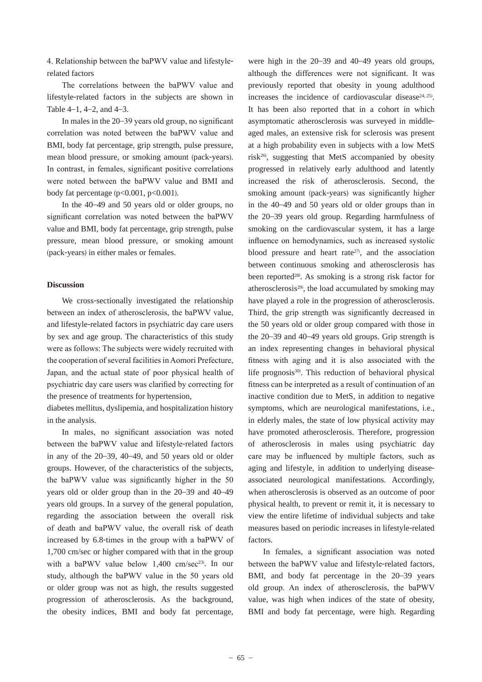4. Relationship between the baPWV value and lifestylerelated factors

The correlations between the baPWV value and lifestyle-related factors in the subjects are shown in Table  $4-1$ ,  $4-2$ , and  $4-3$ .

In males in the  $20-39$  years old group, no significant correlation was noted between the baPWV value and BMI, body fat percentage, grip strength, pulse pressure, mean blood pressure, or smoking amount (pack-years). In contrast, in females, significant positive correlations were noted between the baPWV value and BMI and body fat percentage  $(p<0.001, p<0.001)$ .

 In the 40–49 and 50 years old or older groups, no significant correlation was noted between the baPWV value and BMI, body fat percentage, grip strength, pulse pressure, mean blood pressure, or smoking amount (pack-years) in either males or females.

### **Discussion**

 We cross-sectionally investigated the relationship between an index of atherosclerosis, the baPWV value, and lifestyle-related factors in psychiatric day care users by sex and age group. The characteristics of this study were as follows: The subjects were widely recruited with the cooperation of several facilities in Aomori Prefecture, Japan, and the actual state of poor physical health of psychiatric day care users was clarified by correcting for the presence of treatments for hypertension,

diabetes mellitus, dyslipemia, and hospitalization history in the analysis.

In males, no significant association was noted between the baPWV value and lifestyle-related factors in any of the 20–39, 40–49, and 50 years old or older groups. However, of the characteristics of the subjects, the baPWV value was significantly higher in the 50 years old or older group than in the 20–39 and 40–49 years old groups. In a survey of the general population, regarding the association between the overall risk of death and baPWV value, the overall risk of death increased by  $6.8$ -times in the group with a baPWV of 1,700 cm/sec or higher compared with that in the group with a baPWV value below  $1,400$  cm/sec<sup>23)</sup>. In our study, although the baPWV value in the 50 years old or older group was not as high, the results suggested progression of atherosclerosis. As the background, the obesity indices, BMI and body fat percentage,

were high in the 20–39 and 40–49 years old groups, although the differences were not significant. It was previously reported that obesity in young adulthood increases the incidence of cardiovascular disease<sup>24, 25</sup>). It has been also reported that in a cohort in which asymptomatic atherosclerosis was surveyed in middleaged males, an extensive risk for sclerosis was present at a high probability even in subjects with a low MetS risk26) , suggesting that MetS accompanied by obesity progressed in relatively early adulthood and latently increased the risk of atherosclerosis. Second, the smoking amount (pack-years) was significantly higher in the 40–49 and 50 years old or older groups than in the 20–39 years old group. Regarding harmfulness of smoking on the cardiovascular system, it has a large influence on hemodynamics, such as increased systolic blood pressure and heart rate<sup>27</sup>, and the association between continuous smoking and atherosclerosis has been reported<sup>28</sup>. As smoking is a strong risk factor for atherosclerosis<sup>29)</sup>, the load accumulated by smoking may have played a role in the progression of atherosclerosis. Third, the grip strength was significantly decreased in the 50 years old or older group compared with those in the 20–39 and 40–49 years old groups. Grip strength is an index representing changes in behavioral physical fitness with aging and it is also associated with the life prognosis<sup>30</sup>. This reduction of behavioral physical fitness can be interpreted as a result of continuation of an inactive condition due to MetS, in addition to negative symptoms, which are neurological manifestations, i.e., in elderly males, the state of low physical activity may have promoted atherosclerosis. Therefore, progression of atherosclerosis in males using psychiatric day care may be influenced by multiple factors, such as aging and lifestyle, in addition to underlying diseaseassociated neurological manifestations. Accordingly, when atherosclerosis is observed as an outcome of poor physical health, to prevent or remit it, it is necessary to view the entire lifetime of individual subjects and take measures based on periodic increases in lifestyle-related factors.

In females, a significant association was noted between the baPWV value and lifestyle-related factors, BMI, and body fat percentage in the 20–39 years old group. An index of atherosclerosis, the baPWV value, was high when indices of the state of obesity, BMI and body fat percentage, were high. Regarding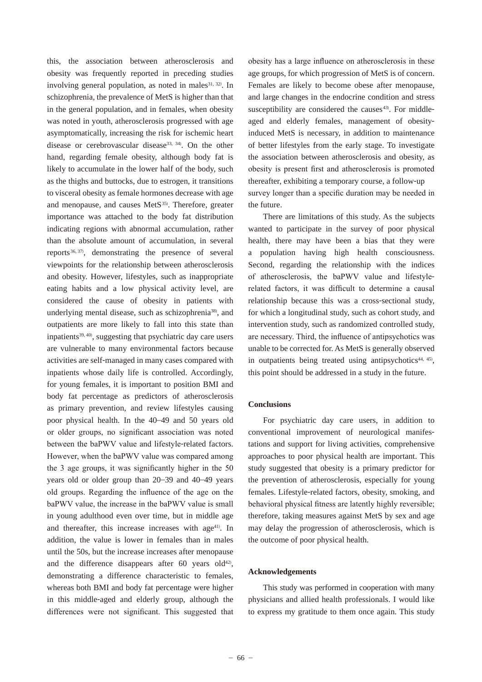this, the association between atherosclerosis and obesity was frequently reported in preceding studies involving general population, as noted in males<sup>31, 32)</sup>. In schizophrenia, the prevalence of MetS is higher than that in the general population, and in females, when obesity was noted in youth, atherosclerosis progressed with age asymptomatically, increasing the risk for ischemic heart disease or cerebrovascular disease<sup>33, 34)</sup>. On the other hand, regarding female obesity, although body fat is likely to accumulate in the lower half of the body, such as the thighs and buttocks, due to estrogen, it transitions to visceral obesity as female hormones decrease with age and menopause, and causes MetS<sup>35)</sup>. Therefore, greater importance was attached to the body fat distribution indicating regions with abnormal accumulation, rather than the absolute amount of accumulation, in several reports<sup>36, 37)</sup>, demonstrating the presence of several viewpoints for the relationship between atherosclerosis and obesity. However, lifestyles, such as inappropriate eating habits and a low physical activity level, are considered the cause of obesity in patients with underlying mental disease, such as schizophrenia<sup>38)</sup>, and outpatients are more likely to fall into this state than inpatients<sup>39, 40</sup>, suggesting that psychiatric day care users are vulnerable to many environmental factors because activities are self-managed in many cases compared with inpatients whose daily life is controlled. Accordingly, for young females, it is important to position BMI and body fat percentage as predictors of atherosclerosis as primary prevention, and review lifestyles causing poor physical health. In the 40–49 and 50 years old or older groups, no significant association was noted between the baPWV value and lifestyle-related factors. However, when the baPWV value was compared among the 3 age groups, it was significantly higher in the  $50$ years old or older group than 20–39 and 40–49 years old groups. Regarding the influence of the age on the baPWV value, the increase in the baPWV value is small in young adulthood even over time, but in middle age and thereafter, this increase increases with age<sup>41)</sup>. In addition, the value is lower in females than in males until the 50s, but the increase increases after menopause and the difference disappears after  $60$  years old<sup>42</sup>, demonstrating a difference characteristic to females, whereas both BMI and body fat percentage were higher in this middle-aged and elderly group, although the differences were not significant. This suggested that obesity has a large influence on atherosclerosis in these age groups, for which progression of MetS is of concern. Females are likely to become obese after menopause, and large changes in the endocrine condition and stress susceptibility are considered the causes $43$ . For middleaged and elderly females, management of obesityinduced MetS is necessary, in addition to maintenance of better lifestyles from the early stage. To investigate the association between atherosclerosis and obesity, as obesity is present first and atherosclerosis is promoted thereafter, exhibiting a temporary course, a follow-up survey longer than a specific duration may be needed in the future.

 There are limitations of this study. As the subjects wanted to participate in the survey of poor physical health, there may have been a bias that they were a population having high health consciousness. Second, regarding the relationship with the indices of atherosclerosis, the baPWV value and lifestylerelated factors, it was difficult to determine a causal relationship because this was a cross-sectional study, for which a longitudinal study, such as cohort study, and intervention study, such as randomized controlled study, are necessary. Third, the influence of antipsychotics was unable to be corrected for. As MetS is generally observed in outpatients being treated using antipsychotics<sup>44, 45)</sup>, this point should be addressed in a study in the future.

## **Conclusions**

 For psychiatric day care users, in addition to conventional improvement of neurological manifestations and support for living activities, comprehensive approaches to poor physical health are important. This study suggested that obesity is a primary predictor for the prevention of atherosclerosis, especially for young females. Lifestyle-related factors, obesity, smoking, and behavioral physical fitness are latently highly reversible; therefore, taking measures against MetS by sex and age may delay the progression of atherosclerosis, which is the outcome of poor physical health.

# **Acknowledgements**

 This study was performed in cooperation with many physicians and allied health professionals. I would like to express my gratitude to them once again. This study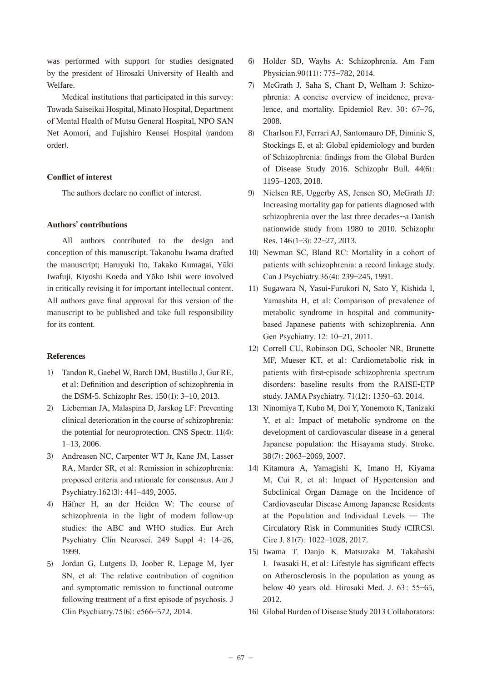was performed with support for studies designated by the president of Hirosaki University of Health and Welfare.

Medical institutions that participated in this survey: Towada Saiseikai Hospital, Minato Hospital, Department of Mental Health of Mutsu General Hospital, NPO SAN Net Aomori, and Fujishiro Kensei Hospital (random order).

# **Conflict of interest**

The authors declare no conflict of interest.

# **Authors**' **contributions**

 All authors contributed to the design and conception of this manuscript. Takanobu Iwama drafted the manuscript; Haruyuki Ito, Takako Kumagai, Yūki Iwafuji, Kiyoshi Koeda and Yōko Ishii were involved in critically revising it for important intellectual content. All authors gave final approval for this version of the manuscript to be published and take full responsibility for its content.

#### **References**

- 1) Tandon R, Gaebel W, Barch DM, Bustillo J, Gur RE, et al: Definition and description of schizophrenia in the DSM-5. Schizophr Res.  $150(1)$ ; 3-10, 2013.
- 2) Lieberman JA, Malaspina D, Jarskog LF: Preventing clinical deterioration in the course of schizophrenia: the potential for neuroprotection. CNS Spectr. 11(4): 1–13, 2006.
- 3) Andreasen NC, Carpenter WT Jr, Kane JM, Lasser RA, Marder SR, et al: Remission in schizophrenia: proposed criteria and rationale for consensus. Am J Psychiatry.162(3): 441-449, 2005.
- 4) Häfner H, an der Heiden W: The course of schizophrenia in the light of modern follow-up studies: the ABC and WHO studies. Eur Arch Psychiatry Clin Neurosci. 249 Suppl 4: 14-26, 1999.
- 5) Jordan G, Lutgens D, Joober R, Lepage M, Iver SN, et al: The relative contribution of cognition and symptomatic remission to functional outcome following treatment of a first episode of psychosis. J Clin Psychiatry.75 $(6)$ : e566–572, 2014.
- 6) Holder SD, Wayhs A: Schizophrenia. Am Fam Physician.90(11): 775-782, 2014.
- 7) McGrath J, Saha S, Chant D, Welham J: Schizophrenia: A concise overview of incidence, prevalence, and mortality. Epidemiol Rev.  $30: 67-76$ , 2008.
- 8) Charlson FJ, Ferrari AJ, Santomauro DF, Diminic S, Stockings E, et al: Global epidemiology and burden of Schizophrenia: findings from the Global Burden of Disease Study 2016. Schizophr Bull. 44(6) 1195–1203, 2018.
- 9) Nielsen RE, Uggerby AS, Jensen SO, McGrath JJ: Increasing mortality gap for patients diagnosed with schizophrenia over the last three decades--a Danish nationwide study from 1980 to 2010. Schizophr Res.  $146(1-3)$ :  $22-27$ ,  $2013$ .
- 10) Newman SC, Bland RC: Mortality in a cohort of patients with schizophrenia: a record linkage study. Can J Psychiatry.36(4): 239-245, 1991.
- 11) Sugawara N, Yasui-Furukori N, Sato Y, Kishida I, Yamashita H, et al: Comparison of prevalence of metabolic syndrome in hospital and communitybased Japanese patients with schizophrenia. Ann Gen Psychiatry. 12: 10-21, 2011.
- 12) Correll CU, Robinson DG, Schooler NR, Brunette MF, Mueser KT, et al: Cardiometabolic risk in patients with first-episode schizophrenia spectrum disorders: baseline results from the RAISE-ETP study. JAMA Psychiatry.  $71(12)$ : 1350–63. 2014.
- 13) Ninomiya T, Kubo M, Doi Y, Yonemoto K, Tanizaki Y, et al: Impact of metabolic syndrome on the development of cardiovascular disease in a general Japanese population: the Hisayama study. Stroke. 38 (7)–2069, 2007.
- 14) Kitamura A, Yamagishi K, Imano H, Kiyama M, Cui R, et al: Impact of Hypertension and Subclinical Organ Damage on the Incidence of Cardiovascular Disease Among Japanese Residents at the Population and Individual Levels  $-$  The Circulatory Risk in Communities Study (CIRCS). Circ J. 81(7): 1022-1028, 2017.
- 15) Iwama T, Danjo K, Matsuzaka M, Takahashi I. Iwasaki H, et al: Lifestyle has significant effects on Atherosclerosis in the population as young as below 40 years old. Hirosaki Med. J. 63: 55-65, 2012.
- 16) Global Burden of Disease Study 2013 Collaborators: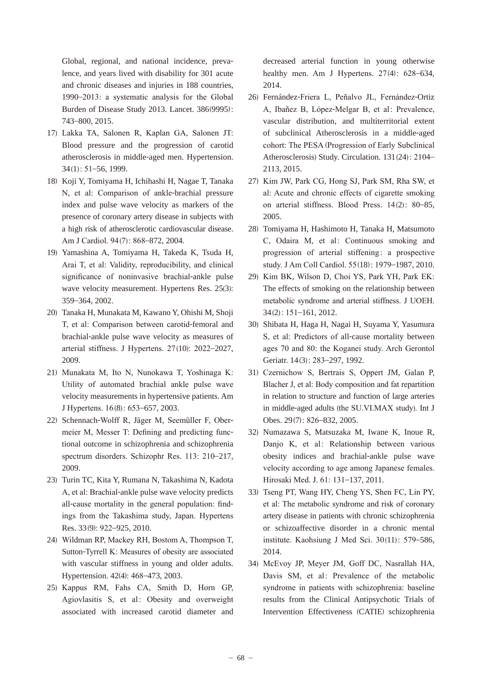Global, regional, and national incidence, prevalence, and years lived with disability for 301 acute and chronic diseases and injuries in 188 countries, 1990–2013: a systematic analysis for the Global Burden of Disease Study 2013. Lancet. 386(9995): 743–800, 2015.

- 17) Lakka TA, Salonen R, Kaplan GA, Salonen JT: Blood pressure and the progression of carotid atherosclerosis in middle-aged men. Hypertension.  $34(1)$ : 51-56, 1999.
- 18) Koji Y, Tomiyama H, Ichihashi H, Nagae T, Tanaka N, et al. Comparison of ankle-brachial pressure index and pulse wave velocity as markers of the presence of coronary artery disease in subjects with a high risk of atherosclerotic cardiovascular disease. Am J Cardiol. 94(7): 868-872, 2004.
- 19) Yamashina A, Tomiyama H, Takeda K, Tsuda H, Arai T, et al: Validity, reproducibility, and clinical significance of noninvasive brachial-ankle pulse wave velocity measurement. Hypertens Res. 25(3): 359–364, 2002.
- 20) Tanaka H, Munakata M, Kawano Y, Ohishi M, Shoji T, et al: Comparison between carotid-femoral and brachial-ankle pulse wave velocity as measures of arterial stiffness. J Hypertens.  $27(10)$ :  $2022-2027$ , 2009.
- 21) Munakata M, Ito N, Nunokawa T, Yoshinaga K: Utility of automated brachial ankle pulse wave velocity measurements in hypertensive patients. Am J Hypertens. 16(8): 653-657, 2003.
- 22) Schennach-Wolff R, Jäger M, Seemüller F, Obermeier M, Messer T: Defining and predicting functional outcome in schizophrenia and schizo phrenia spectrum disorders. Schizophr Res. 113: 210-217, 2009.
- 23) Turin TC, Kita Y, Rumana N, Takashima N, Kadota A, et al: Brachial-ankle pulse wave velocity predicts all-cause mortality in the general population: findings from the Takashima study, Japan. Hypertens Res. 33(9): 922-925, 2010.
- 24) Wildman RP, Mackey RH, Bostom A, Thompson T, Sutton-Tyrrell K: Measures of obesity are associated with vascular stiffness in young and older adults. Hypertension. 42(4): 468–473, 2003.
- 25) Kappus RM, Fahs CA, Smith D, Horn GP, Agiovlasitis S, et al: Obesity and overweight associated with increased carotid diameter and

decreased arterial function in young otherwise healthy men. Am J Hypertens.  $27(4)$ : 628–634, 2014.

- 26) Fernández-Friera L, Peñalvo JL, Fernández-Ortiz A, Ibañez B, López-Melgar B, et al: Prevalence, vascular distribution, and multiterritorial extent of subclinical Atherosclerosis in a middle-aged cohort: The PESA (Progression of Early Subclinical Atherosclerosis) Study. Circulation. 131(24): 2104– 2113, 2015.
- 27) Kim JW, Park CG, Hong SJ, Park SM, Rha SW, et al: Acute and chronic effects of cigarette smoking on arterial stiffness. Blood Press.  $14(2)$ :  $80-85$ , 2005.
- 28) Tomiyama H, Hashimoto H, Tanaka H, Matsumoto C, Odaira M, et al: Continuous smoking and progression of arterial stiffening: a prospective study. J Am Coll Cardiol. 55(18): 1979-1987, 2010.
- 29) Kim BK, Wilson D, Choi YS, Park YH, Park EK: The effects of smoking on the relationship between metabolic syndrome and arterial stiffness. J UOEH. 34 (2)–161, 2012.
- 30) Shibata H, Haga H, Nagai H, Suyama Y, Yasumura S, et al: Predictors of all-cause mortality between ages 70 and 80: the Koganei study. Arch Gerontol Geriatr. 14(3): 283-297, 1992.
- 31) Czernichow S, Bertrais S, Oppert JM, Galan P, Blacher J, et al: Body composition and fat repartition in relation to structure and function of large arteries in middle-aged adults (the SU.VI.MAX study). Int J Obes. 29(7): 826-832, 2005.
- 32) Numazawa S, Matsuzaka M, Iwane K, Inoue R, Danjo K, et al: Relationship between various obesity indices and brachial-ankle pulse wave velocity according to age among Japanese females. Hirosaki Med. J. 61: 131-137, 2011.
- 33) Tseng PT, Wang HY, Cheng YS, Shen FC, Lin PY, et al: The metabolic syndrome and risk of coronary artery disease in patients with chronic schizophrenia or schizoaffective disorder in a chronic mental institute. Kaohsiung J Med Sci.  $30(11)$ : 579–586, 2014.
- 34) McEvoy JP, Meyer JM, Goff DC, Nasrallah HA, Davis SM, et al: Prevalence of the metabolic syndrome in patients with schizophrenia: baseline results from the Clinical Antipsychotic Trials of Intervention Effectiveness (CATIE) schizophrenia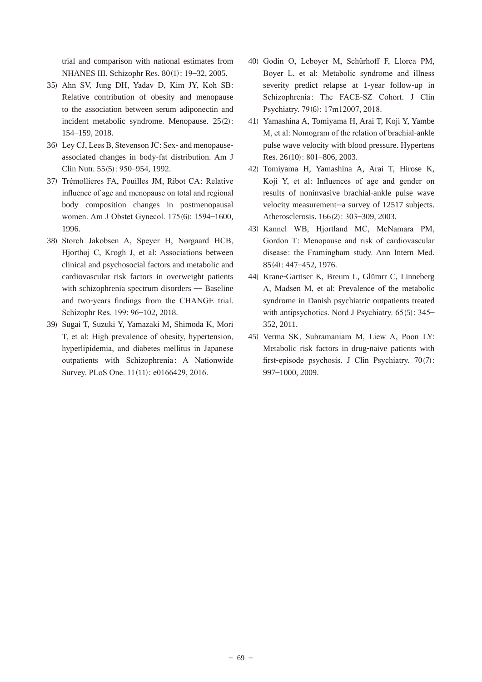trial and comparison with national estimates from NHANES III. Schizophr Res. 80(1): 19-32, 2005.

- 35) Ahn SV, Jung DH, Yadav D, Kim JY, Koh SB: Relative contribution of obesity and menopause to the association between serum adiponectin and incident metabolic syndrome. Menopause. 25(2): 154–159, 2018.
- 36) Ley CJ, Lees B, Stevenson JC: Sex- and menopauseassociated changes in body-fat distribution. Am J Clin Nutr. 55 (5)–954, 1992.
- 37) Trémollieres FA, Pouilles JM, Ribot CA: Relative influence of age and menopause on total and regional body composition changes in postmenopausal women. Am J Obstet Gynecol. 175(6): 1594-1600, 1996.
- 38) Storch Jakobsen A, Speyer H, Nørgaard HCB, Hjorthøj C, Krogh J, et al: Associations between clinical and psychosocial factors and metabolic and cardiovascular risk factors in overweight patients with schizophrenia spectrum disorders — Baseline and two-years findings from the CHANGE trial. Schizophr Res. 199: 96-102, 2018.
- 39) Sugai T, Suzuki Y, Yamazaki M, Shimoda K, Mori T, et al: High prevalence of obesity, hypertension, hyperlipidemia, and diabetes mellitus in Japanese outpatients with Schizophrenia: A Nationwide Survey. PLoS One. 11(11): e0166429, 2016.
- 40) Godin O, Leboyer M, Schürhoff F, Llorca PM, Boyer L, et al: Metabolic syndrome and illness severity predict relapse at 1-year follow-up in Schizophrenia: The FACE-SZ Cohort. J Clin Psychiatry. 79(6): 17m12007, 2018.
- 41) Yamashina A, Tomiyama H, Arai T, Koji Y, Yambe M, et al: Nomogram of the relation of brachial-ankle pulse wave velocity with blood pressure. Hypertens Res. 26(10): 801-806, 2003.
- 42) Tomiyama H, Yamashina A, Arai T, Hirose K, Koji Y, et al: Influences of age and gender on results of noninvasive brachial-ankle pulse wave velocity measurement--a survey of 12517 subjects. Atherosclerosis. 166(2): 303-309, 2003.
- 43) Kannel WB, Hjortland MC, McNamara PM, Gordon T: Menopause and risk of cardiovascular disease: the Framingham study. Ann Intern Med. 85(4): 447-452, 1976.
- 44) Krane-Gartiser K, Breum L, Glümrr C, Linneberg A, Madsen M, et al: Prevalence of the metabolic syndrome in Danish psychiatric outpatients treated with antipsychotics. Nord J Psychiatry.  $65(5)$ : 345– 352, 2011.
- 45) Verma SK, Subramaniam M, Liew A, Poon LY: Metabolic risk factors in drug-naive patients with first-episode psychosis. J Clin Psychiatry.  $70(7)$ : 997–1000, 2009.